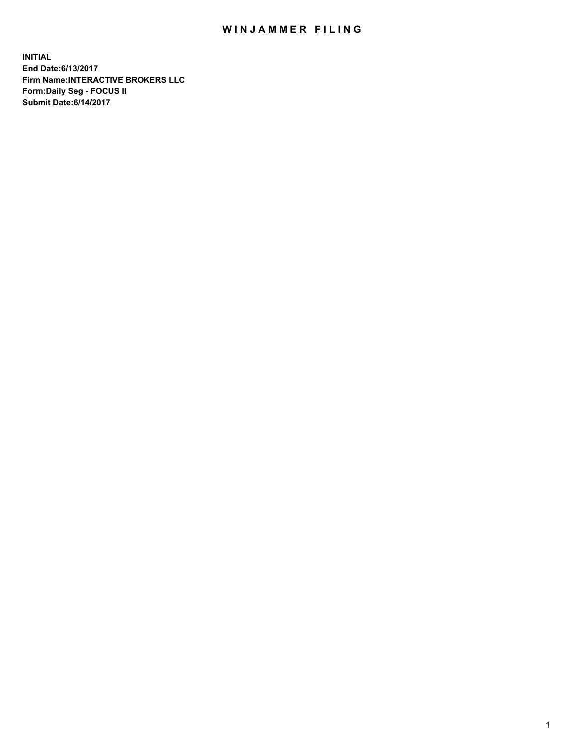## WIN JAMMER FILING

**INITIAL End Date:6/13/2017 Firm Name:INTERACTIVE BROKERS LLC Form:Daily Seg - FOCUS II Submit Date:6/14/2017**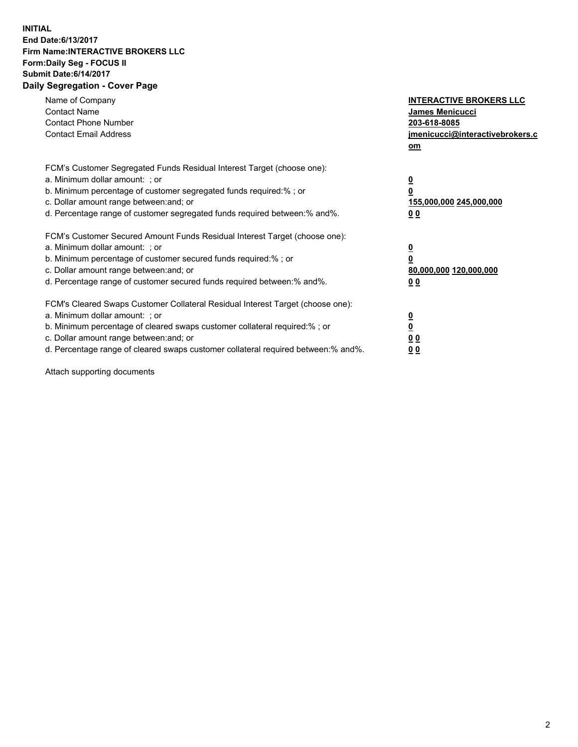## **INITIAL End Date:6/13/2017 Firm Name:INTERACTIVE BROKERS LLC Form:Daily Seg - FOCUS II Submit Date:6/14/2017 Daily Segregation - Cover Page**

| Name of Company<br><b>Contact Name</b><br><b>Contact Phone Number</b><br><b>Contact Email Address</b>                                                                                                                                                                                                                          | <b>INTERACTIVE BROKERS LLC</b><br>James Menicucci<br>203-618-8085<br>jmenicucci@interactivebrokers.c<br>om |
|--------------------------------------------------------------------------------------------------------------------------------------------------------------------------------------------------------------------------------------------------------------------------------------------------------------------------------|------------------------------------------------------------------------------------------------------------|
| FCM's Customer Segregated Funds Residual Interest Target (choose one):<br>a. Minimum dollar amount: ; or<br>b. Minimum percentage of customer segregated funds required:%; or<br>c. Dollar amount range between: and; or<br>d. Percentage range of customer segregated funds required between:% and%.                          | $\overline{\mathbf{0}}$<br>0<br>155,000,000 245,000,000<br>0 <sub>0</sub>                                  |
| FCM's Customer Secured Amount Funds Residual Interest Target (choose one):<br>a. Minimum dollar amount: ; or<br>b. Minimum percentage of customer secured funds required:%; or<br>c. Dollar amount range between: and; or<br>d. Percentage range of customer secured funds required between:% and%.                            | $\overline{\mathbf{0}}$<br>$\overline{\mathbf{0}}$<br>80,000,000 120,000,000<br>00                         |
| FCM's Cleared Swaps Customer Collateral Residual Interest Target (choose one):<br>a. Minimum dollar amount: ; or<br>b. Minimum percentage of cleared swaps customer collateral required:% ; or<br>c. Dollar amount range between: and; or<br>d. Percentage range of cleared swaps customer collateral required between:% and%. | $\overline{\mathbf{0}}$<br>$\overline{\mathbf{0}}$<br>0 <sub>0</sub><br><u>00</u>                          |

Attach supporting documents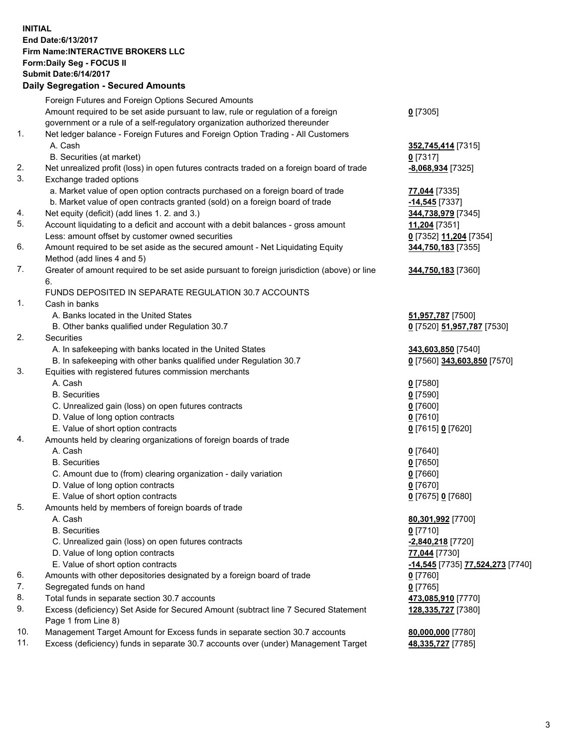## **INITIAL End Date:6/13/2017 Firm Name:INTERACTIVE BROKERS LLC Form:Daily Seg - FOCUS II Submit Date:6/14/2017 Daily Segregation - Secured Amounts**

|     | Dany Oogrogaach - Ocearea Amounte                                                                          |                                  |
|-----|------------------------------------------------------------------------------------------------------------|----------------------------------|
|     | Foreign Futures and Foreign Options Secured Amounts                                                        |                                  |
|     | Amount required to be set aside pursuant to law, rule or regulation of a foreign                           | $0$ [7305]                       |
|     | government or a rule of a self-regulatory organization authorized thereunder                               |                                  |
| 1.  | Net ledger balance - Foreign Futures and Foreign Option Trading - All Customers                            |                                  |
|     | A. Cash                                                                                                    | 352,745,414 [7315]               |
|     | B. Securities (at market)                                                                                  | $0$ [7317]                       |
| 2.  | Net unrealized profit (loss) in open futures contracts traded on a foreign board of trade                  | -8,068,934 [7325]                |
| 3.  | Exchange traded options                                                                                    |                                  |
|     | a. Market value of open option contracts purchased on a foreign board of trade                             | 77,044 [7335]                    |
|     | b. Market value of open contracts granted (sold) on a foreign board of trade                               | $-14,545$ [7337]                 |
| 4.  | Net equity (deficit) (add lines 1.2. and 3.)                                                               | 344,738,979 [7345]               |
| 5.  | Account liquidating to a deficit and account with a debit balances - gross amount                          | 11,204 [7351]                    |
|     | Less: amount offset by customer owned securities                                                           | 0 [7352] 11,204 [7354]           |
| 6.  | Amount required to be set aside as the secured amount - Net Liquidating Equity                             | 344,750,183 [7355]               |
|     | Method (add lines 4 and 5)                                                                                 |                                  |
| 7.  | Greater of amount required to be set aside pursuant to foreign jurisdiction (above) or line                | 344,750,183 [7360]               |
|     | 6.                                                                                                         |                                  |
|     | FUNDS DEPOSITED IN SEPARATE REGULATION 30.7 ACCOUNTS                                                       |                                  |
| 1.  | Cash in banks                                                                                              |                                  |
|     | A. Banks located in the United States                                                                      | 51,957,787 [7500]                |
|     | B. Other banks qualified under Regulation 30.7                                                             | 0 [7520] 51,957,787 [7530]       |
| 2.  | <b>Securities</b>                                                                                          |                                  |
|     | A. In safekeeping with banks located in the United States                                                  | 343,603,850 [7540]               |
|     | B. In safekeeping with other banks qualified under Regulation 30.7                                         | 0 [7560] 343,603,850 [7570]      |
| 3.  | Equities with registered futures commission merchants                                                      |                                  |
|     | A. Cash                                                                                                    | $0$ [7580]                       |
|     | <b>B.</b> Securities                                                                                       | $0$ [7590]                       |
|     | C. Unrealized gain (loss) on open futures contracts                                                        | $0$ [7600]                       |
|     | D. Value of long option contracts                                                                          | $0$ [7610]                       |
|     | E. Value of short option contracts                                                                         | 0 [7615] 0 [7620]                |
| 4.  | Amounts held by clearing organizations of foreign boards of trade                                          |                                  |
|     | A. Cash                                                                                                    | $0$ [7640]                       |
|     | <b>B.</b> Securities                                                                                       | $0$ [7650]                       |
|     | C. Amount due to (from) clearing organization - daily variation                                            | $0$ [7660]                       |
|     | D. Value of long option contracts                                                                          | $0$ [7670]                       |
|     | E. Value of short option contracts                                                                         | 0 [7675] 0 [7680]                |
| 5.  | Amounts held by members of foreign boards of trade                                                         |                                  |
|     | A. Cash                                                                                                    | 80,301,992 [7700]                |
|     | <b>B.</b> Securities                                                                                       | $0$ [7710]                       |
|     | C. Unrealized gain (loss) on open futures contracts                                                        | -2,840,218 [7720]                |
|     | D. Value of long option contracts                                                                          | 77,044 [7730]                    |
|     | E. Value of short option contracts                                                                         | -14,545 [7735] 77,524,273 [7740] |
| 6.  | Amounts with other depositories designated by a foreign board of trade                                     | $0$ [7760]                       |
| 7.  | Segregated funds on hand                                                                                   | $0$ [7765]                       |
| 8.  | Total funds in separate section 30.7 accounts                                                              | 473,085,910 [7770]               |
| 9.  | Excess (deficiency) Set Aside for Secured Amount (subtract line 7 Secured Statement<br>Page 1 from Line 8) | 128,335,727 [7380]               |
| 10. | Management Target Amount for Excess funds in separate section 30.7 accounts                                | 80,000,000 [7780]                |
| 11. | Excess (deficiency) funds in separate 30.7 accounts over (under) Management Target                         | 48,335,727 [7785]                |
|     |                                                                                                            |                                  |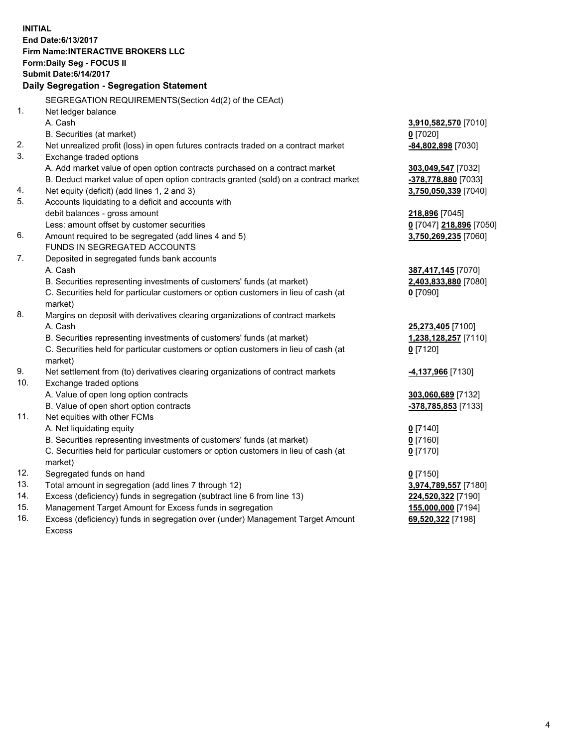**INITIAL End Date:6/13/2017 Firm Name:INTERACTIVE BROKERS LLC Form:Daily Seg - FOCUS II Submit Date:6/14/2017 Daily Segregation - Segregation Statement** SEGREGATION REQUIREMENTS(Section 4d(2) of the CEAct) 1. Net ledger balance A. Cash **3,910,582,570** [7010] B. Securities (at market) **0** [7020] 2. Net unrealized profit (loss) in open futures contracts traded on a contract market **-84,802,898** [7030] 3. Exchange traded options A. Add market value of open option contracts purchased on a contract market **303,049,547** [7032] B. Deduct market value of open option contracts granted (sold) on a contract market **-378,778,880** [7033] 4. Net equity (deficit) (add lines 1, 2 and 3) **3,750,050,339** [7040] 5. Accounts liquidating to a deficit and accounts with debit balances - gross amount **218,896** [7045] Less: amount offset by customer securities **0** [7047] **218,896** [7050] 6. Amount required to be segregated (add lines 4 and 5) **3,750,269,235** [7060] FUNDS IN SEGREGATED ACCOUNTS 7. Deposited in segregated funds bank accounts A. Cash **387,417,145** [7070] B. Securities representing investments of customers' funds (at market) **2,403,833,880** [7080] C. Securities held for particular customers or option customers in lieu of cash (at market) **0** [7090] 8. Margins on deposit with derivatives clearing organizations of contract markets A. Cash **25,273,405** [7100] B. Securities representing investments of customers' funds (at market) **1,238,128,257** [7110] C. Securities held for particular customers or option customers in lieu of cash (at market) **0** [7120] 9. Net settlement from (to) derivatives clearing organizations of contract markets **-4,137,966** [7130] 10. Exchange traded options A. Value of open long option contracts **303,060,689** [7132] B. Value of open short option contracts **-378,785,853** [7133] 11. Net equities with other FCMs A. Net liquidating equity **0** [7140] B. Securities representing investments of customers' funds (at market) **0** [7160] C. Securities held for particular customers or option customers in lieu of cash (at market) **0** [7170] 12. Segregated funds on hand **0** [7150] 13. Total amount in segregation (add lines 7 through 12) **3,974,789,557** [7180] 14. Excess (deficiency) funds in segregation (subtract line 6 from line 13) **224,520,322** [7190] 15. Management Target Amount for Excess funds in segregation **155,000,000** [7194]

16. Excess (deficiency) funds in segregation over (under) Management Target Amount Excess

**69,520,322** [7198]